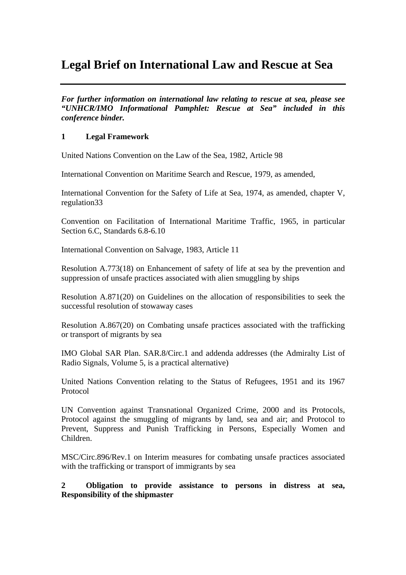# **Legal Brief on International Law and Rescue at Sea**

*For further information on international law relating to rescue at sea, please see "UNHCR/IMO Informational Pamphlet: Rescue at Sea" included in this conference binder.* 

## **1 Legal Framework**

United Nations Convention on the Law of the Sea, 1982, Article 98

International Convention on Maritime Search and Rescue, 1979, as amended,

International Convention for the Safety of Life at Sea, 1974, as amended, chapter V, regulation33

Convention on Facilitation of International Maritime Traffic, 1965, in particular Section 6.C, Standards 6.8-6.10

International Convention on Salvage, 1983, Article 11

Resolution A.773(18) on Enhancement of safety of life at sea by the prevention and suppression of unsafe practices associated with alien smuggling by ships

Resolution A.871(20) on Guidelines on the allocation of responsibilities to seek the successful resolution of stowaway cases

Resolution A.867(20) on Combating unsafe practices associated with the trafficking or transport of migrants by sea

IMO Global SAR Plan. SAR.8/Circ.1 and addenda addresses (the Admiralty List of Radio Signals, Volume 5, is a practical alternative)

United Nations Convention relating to the Status of Refugees, 1951 and its 1967 Protocol

UN Convention against Transnational Organized Crime, 2000 and its Protocols, Protocol against the smuggling of migrants by land, sea and air; and Protocol to Prevent, Suppress and Punish Trafficking in Persons, Especially Women and Children.

MSC/Circ.896/Rev.1 on Interim measures for combating unsafe practices associated with the trafficking or transport of immigrants by sea

**2 Obligation to provide assistance to persons in distress at sea, Responsibility of the shipmaster**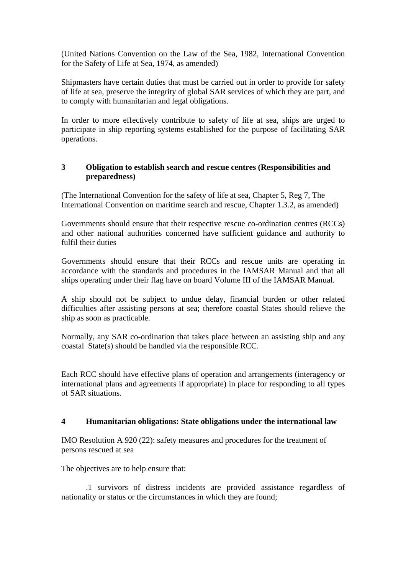(United Nations Convention on the Law of the Sea, 1982, International Convention for the Safety of Life at Sea, 1974, as amended)

Shipmasters have certain duties that must be carried out in order to provide for safety of life at sea, preserve the integrity of global SAR services of which they are part, and to comply with humanitarian and legal obligations.

In order to more effectively contribute to safety of life at sea, ships are urged to participate in ship reporting systems established for the purpose of facilitating SAR operations.

# **3 Obligation to establish search and rescue centres (Responsibilities and preparedness)**

(The International Convention for the safety of life at sea, Chapter 5, Reg 7, The International Convention on maritime search and rescue, Chapter 1.3.2, as amended)

Governments should ensure that their respective rescue co-ordination centres (RCCs) and other national authorities concerned have sufficient guidance and authority to fulfil their duties

Governments should ensure that their RCCs and rescue units are operating in accordance with the standards and procedures in the IAMSAR Manual and that all ships operating under their flag have on board Volume III of the IAMSAR Manual.

A ship should not be subject to undue delay, financial burden or other related difficulties after assisting persons at sea; therefore coastal States should relieve the ship as soon as practicable.

Normally, any SAR co-ordination that takes place between an assisting ship and any coastal State(s) should be handled via the responsible RCC.

Each RCC should have effective plans of operation and arrangements (interagency or international plans and agreements if appropriate) in place for responding to all types of SAR situations.

### **4 Humanitarian obligations: State obligations under the international law**

IMO Resolution A 920 (22): safety measures and procedures for the treatment of persons rescued at sea

The objectives are to help ensure that:

.1 survivors of distress incidents are provided assistance regardless of nationality or status or the circumstances in which they are found;